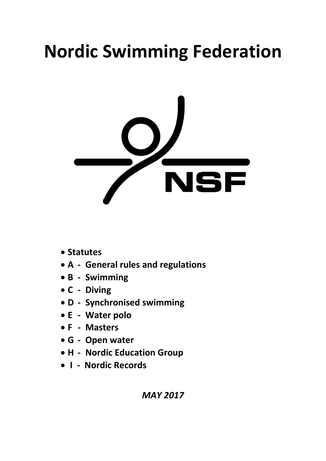# **Nordic Swimming Federation**



- **Statutes**
- **A - General rules and regulations**
- **B - Swimming**
- **C - Diving**
- **D - Synchronised swimming**
- **E - Water polo**
- **F - Masters**
- **G - Open water**
- **H - Nordic Education Group**
- • **I Nordic Records**

*MAY 2017*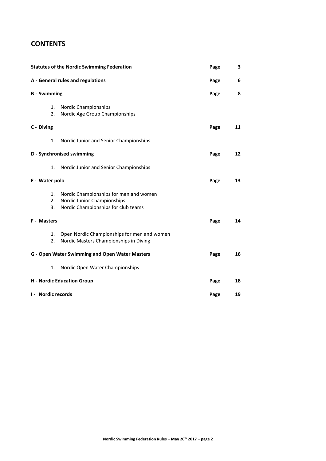# **CONTENTS**

| <b>Statutes of the Nordic Swimming Federation</b>     | Page                                                                                                         | 3    |    |
|-------------------------------------------------------|--------------------------------------------------------------------------------------------------------------|------|----|
| A - General rules and regulations                     | Page                                                                                                         | 6    |    |
| <b>B</b> - Swimming                                   |                                                                                                              | Page | 8  |
| 1.<br>2.                                              | Nordic Championships<br>Nordic Age Group Championships                                                       |      |    |
| C - Diving                                            |                                                                                                              | Page | 11 |
| 1.                                                    | Nordic Junior and Senior Championships                                                                       |      |    |
| <b>D</b> - Synchronised swimming                      |                                                                                                              | Page | 12 |
| 1.                                                    | Nordic Junior and Senior Championships                                                                       |      |    |
| E - Water polo                                        |                                                                                                              | Page | 13 |
| 1.<br>2.<br>3.                                        | Nordic Championships for men and women<br>Nordic Junior Championships<br>Nordic Championships for club teams |      |    |
| F - Masters                                           |                                                                                                              | Page | 14 |
| 1.<br>2.                                              | Open Nordic Championships for men and women<br>Nordic Masters Championships in Diving                        |      |    |
| <b>G - Open Water Swimming and Open Water Masters</b> |                                                                                                              | Page | 16 |
| 1.                                                    | Nordic Open Water Championships                                                                              |      |    |
| <b>H</b> - Nordic Education Group                     |                                                                                                              | Page | 18 |
| I - Nordic records                                    |                                                                                                              | Page | 19 |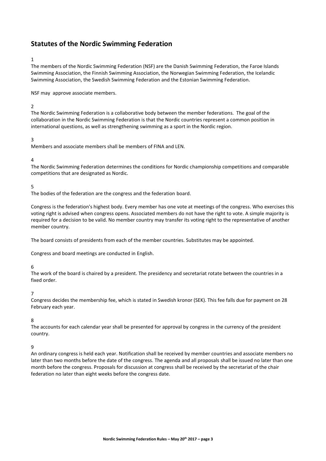# **Statutes of the Nordic Swimming Federation**

## 1

The members of the Nordic Swimming Federation (NSF) are the Danish Swimming Federation, the Faroe Islands Swimming Association, the Finnish Swimming Association, the Norwegian Swimming Federation, the Icelandic Swimming Association, the Swedish Swimming Federation and the Estonian Swimming Federation.

NSF may approve associate members.

# $\overline{2}$

The Nordic Swimming Federation is a collaborative body between the member federations. The goal of the collaboration in the Nordic Swimming Federation is that the Nordic countries represent a common position in international questions, as well as strengthening swimming as a sport in the Nordic region.

# 3

Members and associate members shall be members of FINA and LEN.

#### 4

The Nordic Swimming Federation determines the conditions for Nordic championship competitions and comparable competitions that are designated as Nordic.

#### 5

The bodies of the federation are the congress and the federation board.

Congress is the federation's highest body. Every member has one vote at meetings of the congress. Who exercises this voting right is advised when congress opens. Associated members do not have the right to vote. A simple majority is required for a decision to be valid. No member country may transfer its voting right to the representative of another member country.

The board consists of presidents from each of the member countries. Substitutes may be appointed.

Congress and board meetings are conducted in English.

#### 6

The work of the board is chaired by a president. The presidency and secretariat rotate between the countries in a fixed order.

#### 7

Congress decides the membership fee, which is stated in Swedish kronor (SEK). This fee falls due for payment on 28 February each year.

#### 8

The accounts for each calendar year shall be presented for approval by congress in the currency of the president country.

#### 9

An ordinary congress is held each year. Notification shall be received by member countries and associate members no later than two months before the date of the congress. The agenda and all proposals shall be issued no later than one month before the congress. Proposals for discussion at congress shall be received by the secretariat of the chair federation no later than eight weeks before the congress date.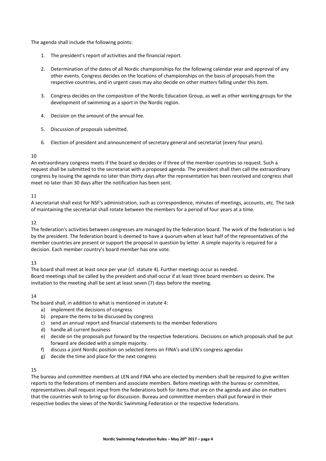The agenda shall include the following points:

- 1. The president's report of activities and the financial report.
- 2. Determination of the dates of all Nordic championships for the following calendar year and approval of any other events. Congress decides on the locations of championships on the basis of proposals from the respective countries, and in urgent cases may also decide on other matters falling under this item.
- 3. Congress decides on the composition of the Nordic Education Group, as well as other working groups for the development of swimming as a sport in the Nordic region.
- 4. Decision on the amount of the annual fee.
- 5. Discussion of proposals submitted.
- 6. Election of president and announcement of secretary general and secretariat (every four years).

#### $1<sub>0</sub>$

An extraordinary congress meets if the board so decides or if three of the member countries so request. Such a request shall be submitted to the secretariat with a proposed agenda. The president shall then call the extraordinary congress by issuing the agenda no later than thirty days after the representation has been received and congress shall meet no later than 30 days after the notification has been sent.

## 11

A secretariat shall exist for NSF's administration, such as correspondence, minutes of meetings, accounts, etc. The task of maintaining the secretariat shall rotate between the members for a period of four years at a time.

#### 12

The federation's activities between congresses are managed by the federation board. The work of the federation is led by the president. The federation board is deemed to have a quorum when at least half of the representatives of the member countries are present or support the proposal in question by letter. A simple majority is required for a decision. Each member country's board member has one vote.

## 13

The board shall meet at least once per year (cf. statute 4). Further meetings occur as needed. Board meetings shall be called by the president and shall occur if at least three board members so desire. The invitation to the meeting shall be sent at least seven (7) days before the meeting.

## 14

The board shall, in addition to what is mentioned in statute 4:

- a) implement the decisions of congress
- b) prepare the items to be discussed by congress
- c) send an annual report and financial statements to the member federations
- d) handle all current business
- e) decide on the proposals put forward by the respective federations. Decisions on which proposals shall be put forward are decided with a simple majority.
- f) discuss a joint Nordic position on selected items on FINA's and LEN's congress agendas
- g) decide the time and place for the next congress

## 15

The bureau and committee members at LEN and FINA who are elected by members shall be required to give written reports to the federations of members and associate members. Before meetings with the bureau or committee, representatives shall request input from the federations both for items that are on the agenda and also on matters that the countries wish to bring up for discussion. Bureau and committee members shall put forward in their respective bodies the views of the Nordic Swimming Federation or the respective federations.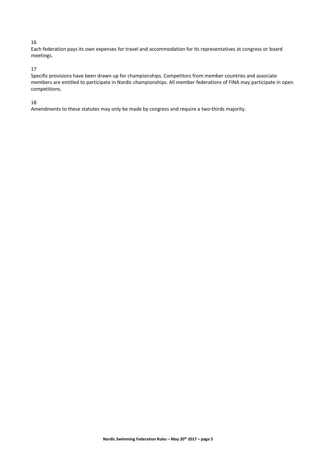# 16

Each federation pays its own expenses for travel and accommodation for its representatives at congress or board meetings.

# 17

Specific provisions have been drawn up for championships. Competitors from member countries and associate members are entitled to participate in Nordic championships. All member federations of FINA may participate in open competitions.

## 18

Amendments to these statutes may only be made by congress and require a two-thirds majority.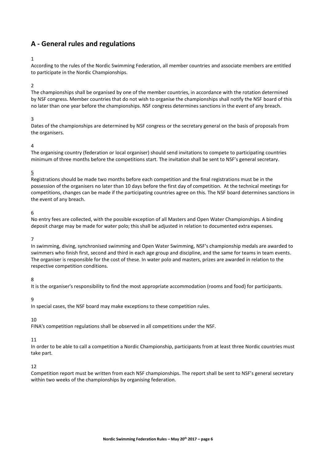# **A - General rules and regulations**

## 1

According to the rules of the Nordic Swimming Federation, all member countries and associate members are entitled to participate in the Nordic Championships.

#### 2

The championships shall be organised by one of the member countries, in accordance with the rotation determined by NSF congress. Member countries that do not wish to organise the championships shall notify the NSF board of this no later than one year before the championships. NSF congress determines sanctions in the event of any breach.

#### 3

Dates of the championships are determined by NSF congress or the secretary general on the basis of proposals from the organisers.

#### 4

The organising country (federation or local organiser) should send invitations to compete to participating countries minimum of three months before the competitions start. The invitation shall be sent to NSF's general secretary.

## 5

Registrations should be made two months before each competition and the final registrations must be in the possession of the organisers no later than 10 days before the first day of competition. At the technical meetings for competitions, changes can be made if the participating countries agree on this. The NSF board determines sanctions in the event of any breach.

#### 6

No entry fees are collected, with the possible exception of all Masters and Open Water Championships. A binding deposit charge may be made for water polo; this shall be adjusted in relation to documented extra expenses.

#### 7

In swimming, diving, synchronised swimming and Open Water Swimming, NSF's championship medals are awarded to swimmers who finish first, second and third in each age group and discipline, and the same for teams in team events. The organiser is responsible for the cost of these. In water polo and masters, prizes are awarded in relation to the respective competition conditions.

#### 8

It is the organiser's responsibility to find the most appropriate accommodation (rooms and food) for participants.

#### 9

In special cases, the NSF board may make exceptions to these competition rules.

## 10

FINA's competition regulations shall be observed in all competitions under the NSF.

#### 11

In order to be able to call a competition a Nordic Championship, participants from at least three Nordic countries must take part.

#### 12

Competition report must be written from each NSF championships. The report shall be sent to NSF's general secretary within two weeks of the championships by organising federation.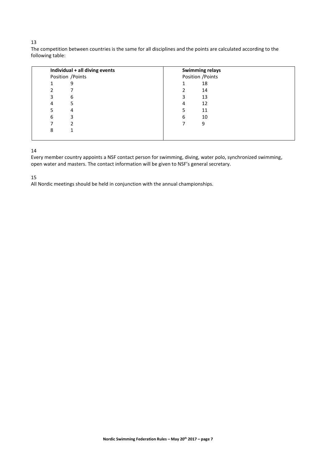# 

The competition between countries is the same for all disciplines and the points are calculated according to the following table:

| Individual + all diving events | <b>Swimming relays</b> |
|--------------------------------|------------------------|
| Position / Points              | Position / Points      |
| 9                              | 18                     |
|                                | 14                     |
| 6<br>3                         | 3<br>13                |
| 5<br>4                         | 12<br>4                |
| 4                              | 11                     |
| 3<br>6                         | 10<br>6                |
|                                | 9                      |
| 8                              |                        |
|                                |                        |

# 

Every member country appoints a NSF contact person for swimming, diving, water polo, synchronized swimming, open water and masters. The contact information will be given to NSF's general secretary.

All Nordic meetings should be held in conjunction with the annual championships.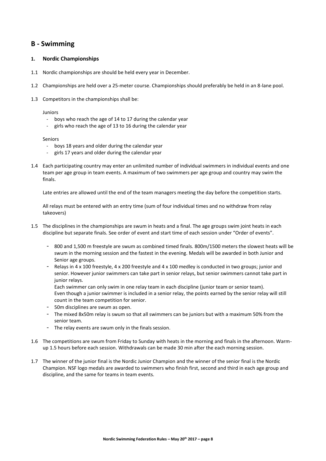# **B - Swimming**

## **1. Nordic Championships**

- 1.1 Nordic championships are should be held every year in December.
- 1.2 Championships are held over a 25-meter course. Championships should preferably be held in an 8-lane pool.
- 1.3 Competitors in the championships shall be:

#### Juniors

- boys who reach the age of 14 to 17 during the calendar year
- girls who reach the age of 13 to 16 during the calendar year

#### Seniors

- boys 18 years and older during the calendar year
- girls 17 years and older during the calendar year
- 1.4 Each participating country may enter an unlimited number of individual swimmers in individual events and one team per age group in team events. A maximum of two swimmers per age group and country may swim the finals.

Late entries are allowed until the end of the team managers meeting the day before the competition starts.

All relays must be entered with an entry time (sum of four individual times and no withdraw from relay takeovers)

- 1.5 The disciplines in the championships are swum in heats and a final. The age groups swim joint heats in each discipline but separate finals. See order of event and start time of each session under "Order of events".
	- 800 and 1,500 m freestyle are swum as combined timed finals. 800m/1500 meters the slowest heats will be swum in the morning session and the fastest in the evening. Medals will be awarded in both Junior and Senior age groups.
	- Relays in 4 x 100 freestyle, 4 x 200 freestyle and 4 x 100 medley is conducted in two groups; junior and senior. However junior swimmers can take part in senior relays, but senior swimmers cannot take part in junior relays.

Each swimmer can only swim in one relay team in each discipline (junior team or senior team). Even though a junior swimmer is included in a senior relay, the points earned by the senior relay will still count in the team competition for senior.

- 50m disciplines are swum as open.
- The mixed 8x50m relay is swum so that all swimmers can be juniors but with a maximum 50% from the senior team.
- The relay events are swum only in the finals session.
- 1.6 The competitions are swum from Friday to Sunday with heats in the morning and finals in the afternoon. Warmup 1.5 hours before each session. Withdrawals can be made 30 min after the each morning session.
- 1.7 The winner of the junior final is the Nordic Junior Champion and the winner of the senior final is the Nordic Champion. NSF logo medals are awarded to swimmers who finish first, second and third in each age group and discipline, and the same for teams in team events.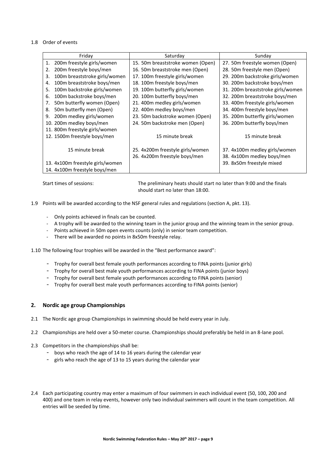#### 1.8 Order of events

| Friday                           |                               | Saturday                          | Sunday                            |  |
|----------------------------------|-------------------------------|-----------------------------------|-----------------------------------|--|
| 1.                               | 200m freestyle girls/women    | 15. 50m breaststroke women (Open) | 27. 50m freestyle women (Open)    |  |
| 2.                               | 200m freestyle boys/men       | 16. 50m breaststroke men (Open)   | 28. 50m freestyle men (Open)      |  |
| 3.                               | 100m breaststroke girls/women | 17. 100m freestyle girls/women    | 29. 200m backstroke girls/women   |  |
| 4.                               | 100m breaststroke boys/men    | 18. 100m freestyle boys/men       | 30. 200m backstroke boys/men      |  |
| 5.                               | 100m backstroke girls/women   | 19. 100m butterfly girls/women    | 31. 200m breaststroke girls/women |  |
| 6.                               | 100m backstroke boys/men      | 20. 100m butterfly boys/men       | 32. 200m breaststroke boys/men    |  |
| 7.                               | 50m butterfly women (Open)    | 21. 400m medley girls/women       | 33. 400m freestyle girls/women    |  |
| 8.                               | 50m butterfly men (Open)      | 22. 400m medley boys/men          | 34. 400m freestyle boys/men       |  |
| 9.                               | 200m medley girls/women       | 23. 50m backstroke women (Open)   | 35. 200m butterfly girls/women    |  |
| 10. 200m medley boys/men         |                               | 24. 50m backstroke men (Open)     | 36. 200m butterfly boys/men       |  |
| 11. 800m freestyle girls/women   |                               |                                   |                                   |  |
| 12. 1500m freestyle boys/men     |                               | 15 minute break                   | 15 minute break                   |  |
|                                  |                               |                                   |                                   |  |
|                                  | 15 minute break               | 25. 4x200m freestyle girls/women  | 37. 4x100m medley girls/women     |  |
|                                  |                               | 26. 4x200m freestyle boys/men     | 38. 4x100m medley boys/men        |  |
| 13. 4x100m freestyle girls/women |                               |                                   | 39. 8x50m freestyle mixed         |  |
|                                  | 14. 4x100m freestyle boys/men |                                   |                                   |  |

Start times of sessions: The preliminary heats should start no later than 9:00 and the finals should start no later than 18:00.

1.9 Points will be awarded according to the NSF general rules and regulations (section A, pkt. 13).

- Only points achieved in finals can be counted.
- A trophy will be awarded to the winning team in the junior group and the winning team in the senior group.
- Points achieved in 50m open events counts (only) in senior team competition.
- There will be awarded no points in 8x50m freestyle relay.

1.10 The following four trophies will be awarded in the "Best performance award":

- Trophy for overall best female youth performances according to FINA points (junior girls)
- Trophy for overall best male youth performances according to FINA points (junior boys)
- Trophy for overall best female youth performances according to FINA points (senior)
- Trophy for overall best male youth performances according to FINA points (senior)

## **2. Nordic age group Championships**

- 2.1 The Nordic age group Championships in swimming should be held every year in July.
- 2.2 Championships are held over a 50-meter course. Championships should preferably be held in an 8-lane pool.
- 2.3 Competitors in the championships shall be:
	- boys who reach the age of 14 to 16 years during the calendar year
	- girls who reach the age of 13 to 15 years during the calendar year
- 2.4 Each participating country may enter a maximum of four swimmers in each individual event (50, 100, 200 and 400) and one team in relay events, however only two individual swimmers will count in the team competition. All entries will be seeded by time.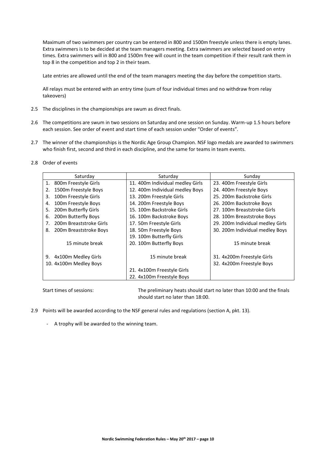Maximum of two swimmers per country can be entered in 800 and 1500m freestyle unless there is empty lanes. Extra swimmers is to be decided at the team managers meeting. Extra swimmers are selected based on entry times. Extra swimmers will in 800 and 1500m free will count in the team competition if their result rank them in top 8 in the competition and top 2 in their team.

Late entries are allowed until the end of the team managers meeting the day before the competition starts.

All relays must be entered with an entry time (sum of four individual times and no withdraw from relay takeovers)

- 2.5 The disciplines in the championships are swum as direct finals.
- 2.6 The competitions are swum in two sessions on Saturday and one session on Sunday. Warm-up 1.5 hours before each session. See order of event and start time of each session under "Order of events".
- 2.7 The winner of the championships is the Nordic Age Group Champion. NSF logo medals are awarded to swimmers who finish first, second and third in each discipline, and the same for teams in team events.
- 2.8 Order of events

| Saturday                      | Saturday                         | Sunday                           |
|-------------------------------|----------------------------------|----------------------------------|
| 800m Freestyle Girls<br>1.    | 11. 400m Individual medley Girls | 23. 400m Freestyle Girls         |
| 1500m Freestyle Boys<br>2.    | 12. 400m Individual medley Boys  | 24. 400m Freestyle Boys          |
| 100m Freestyle Girls<br>3.    | 13. 200m Freestyle Girls         | 25. 200m Backstroke Girls        |
| 100m Freestyle Boys<br>4.     | 14. 200m Freestyle Boys          | 26. 200m Backstroke Boys         |
| 200m Butterfly Girls<br>5.    | 15. 100m Backstroke Girls        | 27. 100m Breaststroke Girls      |
| 200m Butterfly Boys<br>6.     | 16. 100m Backstroke Boys         | 28. 100m Breaststroke Boys       |
| 200m Breaststroke Girls<br>7. | 17. 50m Freestyle Girls          | 29. 200m Individual medley Girls |
| 200m Breaststroke Boys<br>8.  | 18. 50m Freestyle Boys           | 30. 200m Individual medley Boys  |
|                               | 19. 100m Butterfly Girls         |                                  |
| 15 minute break               | 20. 100m Butterfly Boys          | 15 minute break                  |
|                               |                                  |                                  |
| 4x100m Medley Girls<br>9.     | 15 minute break                  | 31. 4x200m Freestyle Girls       |
| 10. 4x100m Medley Boys        |                                  | 32. 4x200m Freestyle Boys        |
|                               | 21. 4x100m Freestyle Girls       |                                  |
|                               | 22. 4x100m Freestyle Boys        |                                  |

Start times of sessions: The preliminary heats should start no later than 10:00 and the finals should start no later than 18:00.

- 2.9 Points will be awarded according to the NSF general rules and regulations (section A, pkt. 13).
	- A trophy will be awarded to the winning team.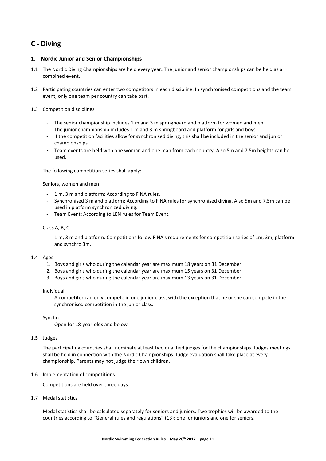# **C - Diving**

# **1. Nordic Junior and Senior Championships**

- 1.1 The Nordic Diving Championships are held every year**.** The junior and senior championships can be held as a combined event.
- 1.2 Participating countries can enter two competitors in each discipline. In synchronised competitions and the team event, only one team per country can take part.

## 1.3 Competition disciplines

- The senior championship includes 1 m and 3 m springboard and platform for women and men.
- The junior championship includes 1 m and 3 m springboard and platform for girls and boys.
- If the competition facilities allow for synchronised diving, this shall be included in the senior and junior championships.
- Team events are held with one woman and one man from each country. Also 5m and 7.5m heights can be used.

The following competition series shall apply:

## Seniors, women and men

- 1 m, 3 m and platform: According to FINA rules.
- Synchronised 3 m and platform: According to FINA rules for synchronised diving. Also 5m and 7.5m can be used in platform synchronized diving.
- Team Event: According to LEN rules for Team Event.

## Class A, B, C

- 1 m, 3 m and platform: Competitions follow FINA's requirements for competition series of 1m, 3m, platform and synchro 3m.

## 1.4 Ages

- 1. Boys and girls who during the calendar year are maximum 18 years on 31 December.
- 2. Boys and girls who during the calendar year are maximum 15 years on 31 December.
- 3. Boys and girls who during the calendar year are maximum 13 years on 31 December.

## Individual

- A competitor can only compete in one junior class, with the exception that he or she can compete in the synchronised competition in the junior class.

## Synchro

- Open for 18-year-olds and below

## 1.5 Judges

The participating countries shall nominate at least two qualified judges for the championships. Judges meetings shall be held in connection with the Nordic Championships. Judge evaluation shall take place at every championship. Parents may not judge their own children.

## 1.6 Implementation of competitions

Competitions are held over three days.

1.7 Medal statistics

Medal statistics shall be calculated separately for seniors and juniors. Two trophies will be awarded to the countries according to "General rules and regulations" (13): one for juniors and one for seniors.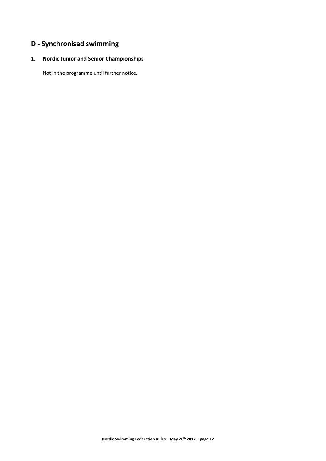# **D - Synchronised swimming**

# **1. Nordic Junior and Senior Championships**

Not in the programme until further notice.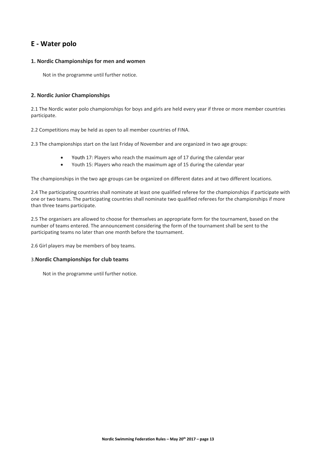# **E - Water polo**

# **1. Nordic Championships for men and women**

Not in the programme until further notice.

# **2. Nordic Junior Championships**

2.1 The Nordic water polo championships for boys and girls are held every year if three or more member countries participate.

2.2 Competitions may be held as open to all member countries of FINA.

2.3 The championships start on the last Friday of November and are organized in two age groups:

- Youth 17: Players who reach the maximum age of 17 during the calendar year
- Youth 15: Players who reach the maximum age of 15 during the calendar year

The championships in the two age groups can be organized on different dates and at two different locations.

2.4 The participating countries shall nominate at least one qualified referee for the championships if participate with one or two teams. The participating countries shall nominate two qualified referees for the championships if more than three teams participate.

2.5 The organisers are allowed to choose for themselves an appropriate form for the tournament, based on the number of teams entered. The announcement considering the form of the tournament shall be sent to the participating teams no later than one month before the tournament.

2.6 Girl players may be members of boy teams.

## 3.**Nordic Championships for club teams**

Not in the programme until further notice.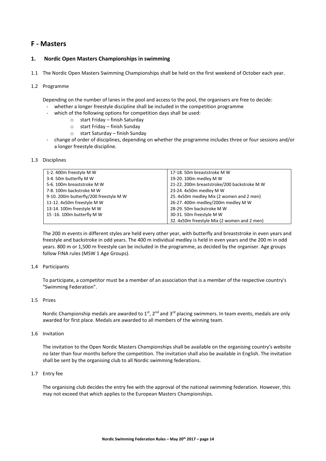# **F - Masters**

# **1. Nordic Open Masters Championships in swimming**

1.1 The Nordic Open Masters Swimming Championships shall be held on the first weekend of October each year.

#### 1.2 Programme

Depending on the number of lanes in the pool and access to the pool, the organisers are free to decide:

- whether a longer freestyle discipline shall be included in the competition programme
	- which of the following options for competition days shall be used:
		- o start Friday finish Saturday
			- o start Friday finish Sunday
			- o start Saturday finish Sunday
- change of order of disciplines, depending on whether the programme includes three or four sessions and/or a longer freestyle discipline.

#### 1.3 Disciplines

| 1-2.400m freestyle M W                 | 17-18. 50m breaststroke M W                 |
|----------------------------------------|---------------------------------------------|
| 3-4. 50m butterfly M W                 | 19-20. 100m medley M W                      |
| 5-6. 100m breaststroke M W             | 21-22. 200m breaststroke/200 backstroke M W |
| 7-8.100m backstroke M W                | 23-24. 4x50m medley M W                     |
| 9-10. 200m butterfly/200 freestyle M W | 25. 4x50m medley Mix (2 women and 2 men)    |
| 11-12. 4x50m freestyle M W             | 26-27. 400m medley/200m medley M W          |
| 13-14. 100m freestyle M W              | 28-29. 50m backstroke M W                   |
| 15 -16. 100m butterfly M W             | 30-31. 50m freestyle M W                    |
|                                        | 32. 4x50m freestyle Mix (2 women and 2 men) |

The 200 m events in different styles are held every other year, with butterfly and breaststroke in even years and freestyle and backstroke in odd years. The 400 m individual medley is held in even years and the 200 m in odd years. 800 m or 1,500 m freestyle can be included in the programme, as decided by the organiser. Age groups follow FINA rules (MSW 1 Age Groups).

#### 1.4 Participants

To participate, a competitor must be a member of an association that is a member of the respective country's "Swimming Federation".

#### 1.5 Prizes

Nordic Championship medals are awarded to  $1<sup>st</sup>$ ,  $2<sup>nd</sup>$  and  $3<sup>rd</sup>$  placing swimmers. In team events, medals are only awarded for first place. Medals are awarded to all members of the winning team.

#### 1.6 Invitation

The invitation to the Open Nordic Masters Championships shall be available on the organising country's website no later than four months before the competition. The invitation shall also be available in English. The invitation shall be sent by the organising club to all Nordic swimming federations.

## 1.7 Entry fee

The organising club decides the entry fee with the approval of the national swimming federation. However, this may not exceed that which applies to the European Masters Championships.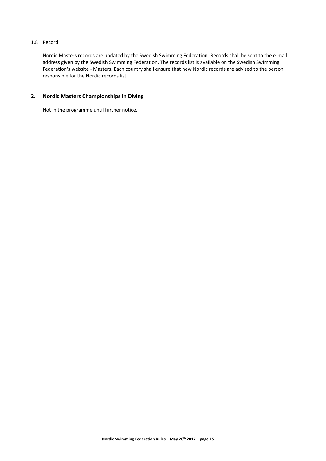# 1.8 Record

Nordic Masters records are updated by the Swedish Swimming Federation. Records shall be sent to the e-mail address given by the Swedish Swimming Federation. The records list is available on the Swedish Swimming Federation's website - Masters. Each country shall ensure that new Nordic records are advised to the person responsible for the Nordic records list.

# **2. Nordic Masters Championships in Diving**

Not in the programme until further notice.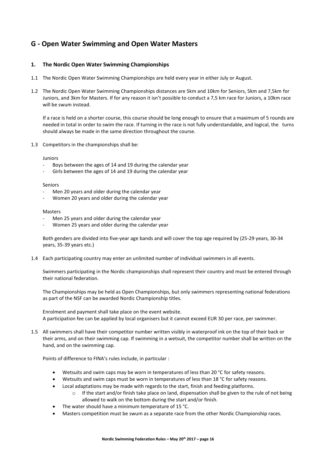# **G - Open Water Swimming and Open Water Masters**

# **1. The Nordic Open Water Swimming Championships**

- 1.1 The Nordic Open Water Swimming Championships are held every year in either July or August.
- 1.2 The Nordic Open Water Swimming Championships distances are 5km and 10km for Seniors, 5km and 7,5km for Juniors, and 3km for Masters. If for any reason it isn't possible to conduct a 7,5 km race for Juniors, a 10km race will be swum instead.

If a race is held on a shorter course, this course should be long enough to ensure that a maximum of 5 rounds are needed in total in order to swim the race. If turning in the race is not fully understandable, and logical, the turns should always be made in the same direction throughout the course.

1.3 Competitors in the championships shall be:

#### Juniors

- Boys between the ages of 14 and 19 during the calendar year
- Girls between the ages of 14 and 19 during the calendar year

#### Seniors

- Men 20 years and older during the calendar year
- Women 20 years and older during the calendar year

#### Masters

- Men 25 years and older during the calendar year
- Women 25 years and older during the calendar year

Both genders are divided into five-year age bands and will cover the top age required by (25-29 years, 30-34 years, 35-39 years etc.)

1.4 Each participating country may enter an unlimited number of individual swimmers in all events.

Swimmers participating in the Nordic championships shall represent their country and must be entered through their national federation.

The Championships may be held as Open Championships, but only swimmers representing national federations as part of the NSF can be awarded Nordic Championship titles.

Enrolment and payment shall take place on the event website. A participation fee can be applied by local organisers but it cannot exceed EUR 30 per race, per swimmer.

1.5 All swimmers shall have their competitor number written visibly in waterproof ink on the top of their back or their arms, and on their swimming cap. If swimming in a wetsuit, the competitor number shall be written on the hand, and on the swimming cap.

Points of difference to FINA's rules include, in particular :

- Wetsuits and swim caps may be worn in temperatures of less than 20 °C for safety reasons.
- Wetsuits and swim caps must be worn in temperatures of less than 18 °C for safety reasons.
- Local adaptations may be made with regards to the start, finish and feeding platforms.
	- $\circ$  If the start and/or finish take place on land, dispensation shall be given to the rule of not being allowed to walk on the bottom during the start and/or finish.
- The water should have a minimum temperature of 15 °C.
- Masters competition must be swum as a separate race from the other Nordic Championship races.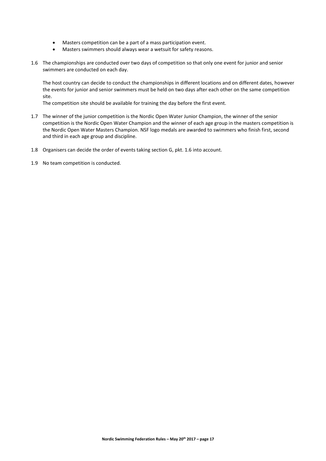- Masters competition can be a part of a mass participation event.
- Masters swimmers should always wear a wetsuit for safety reasons.
- 1.6 The championships are conducted over two days of competition so that only one event for junior and senior swimmers are conducted on each day.

The host country can decide to conduct the championships in different locations and on different dates, however the events for junior and senior swimmers must be held on two days after each other on the same competition site.

The competition site should be available for training the day before the first event.

- 1.7 The winner of the junior competition is the Nordic Open Water Junior Champion, the winner of the senior competition is the Nordic Open Water Champion and the winner of each age group in the masters competition is the Nordic Open Water Masters Champion. NSF logo medals are awarded to swimmers who finish first, second and third in each age group and discipline.
- 1.8 Organisers can decide the order of events taking section G, pkt. 1.6 into account.
- 1.9 No team competition is conducted.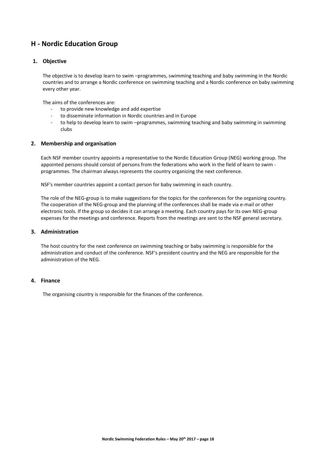# **H - Nordic Education Group**

# **1. Objective**

The objective is to develop learn to swim –programmes, swimming teaching and baby swimming in the Nordic countries and to arrange a Nordic conference on swimming teaching and a Nordic conference on baby swimming every other year.

The aims of the conferences are:

- to provide new knowledge and add expertise
- to disseminate information in Nordic countries and in Europe
- to help to develop learn to swim -programmes, swimming teaching and baby swimming in swimming clubs

## **2. Membership and organisation**

Each NSF member country appoints a representative to the Nordic Education Group (NEG) working group. The appointed persons should consist of persons from the federations who work in the field of learn to swim programmes. The chairman always represents the country organizing the next conference.

NSF's member countries appoint a contact person for baby swimming in each country.

The role of the NEG-group is to make suggestions for the topics for the conferences for the organizing country. The cooperation of the NEG-group and the planning of the conferences shall be made via e-mail or other electronic tools. If the group so decides it can arrange a meeting. Each country pays for its own NEG-group expenses for the meetings and conference. Reports from the meetings are sent to the NSF general secretary.

# **3. Administration**

The host country for the next conference on swimming teaching or baby swimming is responsible for the administration and conduct of the conference. NSF's president country and the NEG are responsible for the administration of the NEG.

# **4. Finance**

The organising country is responsible for the finances of the conference.